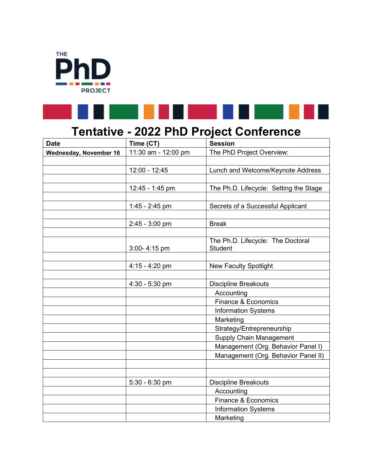



## **Tentative - 2022 PhD Project Conference**

| <b>Date</b>                   | Time (CT)           | <b>Session</b>                         |
|-------------------------------|---------------------|----------------------------------------|
| <b>Wednesday, November 16</b> | 11:30 am - 12:00 pm | The PhD Project Overview:              |
|                               |                     |                                        |
|                               | 12:00 - 12:45       | Lunch and Welcome/Keynote Address      |
|                               |                     |                                        |
|                               | 12:45 - 1:45 pm     | The Ph.D. Lifecycle: Setting the Stage |
|                               |                     |                                        |
|                               | 1:45 - 2:45 pm      | Secrets of a Successful Applicant      |
|                               |                     |                                        |
|                               | $2:45 - 3:00$ pm    | <b>Break</b>                           |
|                               |                     |                                        |
|                               |                     | The Ph.D. Lifecycle: The Doctoral      |
|                               | 3:00-4:15 pm        | <b>Student</b>                         |
|                               |                     |                                        |
|                               | 4:15 - 4:20 pm      | <b>New Faculty Spotlight</b>           |
|                               |                     |                                        |
|                               | $4:30 - 5:30$ pm    | <b>Discipline Breakouts</b>            |
|                               |                     | Accounting                             |
|                               |                     | Finance & Economics                    |
|                               |                     | Information Systems                    |
|                               |                     | Marketing                              |
|                               |                     | Strategy/Entrepreneurship              |
|                               |                     | <b>Supply Chain Management</b>         |
|                               |                     | Management (Org. Behavior Panel I)     |
|                               |                     | Management (Org. Behavior Panel II)    |
|                               |                     |                                        |
|                               |                     |                                        |
|                               | $5:30 - 6:30$ pm    | <b>Discipline Breakouts</b>            |
|                               |                     | Accounting                             |
|                               |                     | Finance & Economics                    |
|                               |                     | <b>Information Systems</b>             |
|                               |                     | Marketing                              |